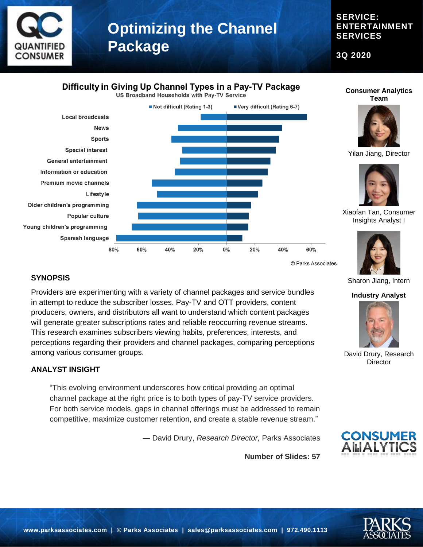

### **SERVICE: ENTERTAINMENT SERVICES**

**3Q 2020**

### Difficulty in Giving Up Channel Types in a Pay-TV Package

US Broadband Households with Pay-TV Service



#### **SYNOPSIS**

Providers are experimenting with a variety of channel packages and service bundles in attempt to reduce the subscriber losses. Pay-TV and OTT providers, content producers, owners, and distributors all want to understand which content packages will generate greater subscriptions rates and reliable reoccurring revenue streams. This research examines subscribers viewing habits, preferences, interests, and perceptions regarding their providers and channel packages, comparing perceptions among various consumer groups.

#### **ANALYST INSIGHT**

"This evolving environment underscores how critical providing an optimal channel package at the right price is to both types of pay-TV service providers. For both service models, gaps in channel offerings must be addressed to remain competitive, maximize customer retention, and create a stable revenue stream."

― David Drury, *Research Director,* Parks Associates

**Number of Slides: 57**





Yilan Jiang, Director



Xiaofan Tan, Consumer Insights Analyst I



Sharon Jiang, Intern

#### **Industry Analyst**



David Drury, Research **Director** 



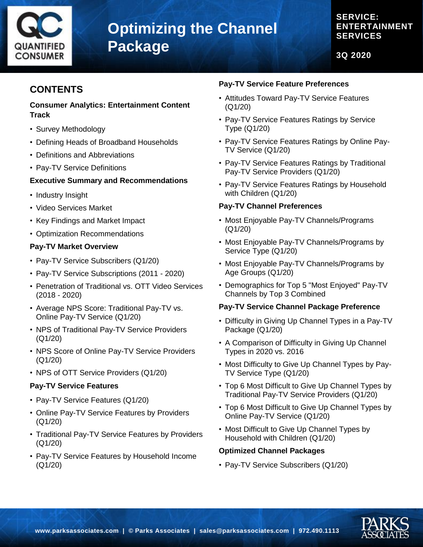

### **SERVICE: ENTERTAINMENT SERVICES**

**3Q 2020**

## **CONTENTS**

#### **Consumer Analytics: Entertainment Content Track**

- Survey Methodology
- Defining Heads of Broadband Households
- Definitions and Abbreviations
- Pay-TV Service Definitions

#### **Executive Summary and Recommendations**

- Industry Insight
- Video Services Market
- Key Findings and Market Impact
- Optimization Recommendations

#### **Pay-TV Market Overview**

- Pay-TV Service Subscribers (Q1/20)
- Pay-TV Service Subscriptions (2011 2020)
- Penetration of Traditional vs. OTT Video Services (2018 - 2020)
- Average NPS Score: Traditional Pay-TV vs. Online Pay-TV Service (Q1/20)
- NPS of Traditional Pay-TV Service Providers (Q1/20)
- NPS Score of Online Pay-TV Service Providers (Q1/20)
- NPS of OTT Service Providers (Q1/20)

#### **Pay-TV Service Features**

- Pay-TV Service Features (Q1/20)
- Online Pay-TV Service Features by Providers (Q1/20)
- Traditional Pay-TV Service Features by Providers (Q1/20)
- Pay-TV Service Features by Household Income (Q1/20)

#### **Pay-TV Service Feature Preferences**

- Attitudes Toward Pay-TV Service Features (Q1/20)
- Pay-TV Service Features Ratings by Service Type (Q1/20)
- Pay-TV Service Features Ratings by Online Pay-TV Service (Q1/20)
- Pay-TV Service Features Ratings by Traditional Pay-TV Service Providers (Q1/20)
- Pay-TV Service Features Ratings by Household with Children (Q1/20)

#### **Pay-TV Channel Preferences**

- Most Enjoyable Pay-TV Channels/Programs (Q1/20)
- Most Enjoyable Pay-TV Channels/Programs by Service Type (Q1/20)
- Most Enjoyable Pay-TV Channels/Programs by Age Groups (Q1/20)
- Demographics for Top 5 "Most Enjoyed" Pay-TV Channels by Top 3 Combined

#### **Pay-TV Service Channel Package Preference**

- Difficulty in Giving Up Channel Types in a Pay-TV Package (Q1/20)
- A Comparison of Difficulty in Giving Up Channel Types in 2020 vs. 2016
- Most Difficulty to Give Up Channel Types by Pay-TV Service Type (Q1/20)
- Top 6 Most Difficult to Give Up Channel Types by Traditional Pay-TV Service Providers (Q1/20)
- Top 6 Most Difficult to Give Up Channel Types by Online Pay-TV Service (Q1/20)
- Most Difficult to Give Up Channel Types by Household with Children (Q1/20)

#### **Optimized Channel Packages**

• Pay-TV Service Subscribers (Q1/20)

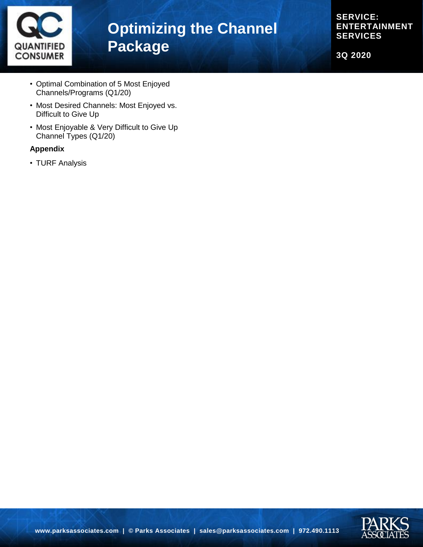

**SERVICE: ENTERTAINMENT SERVICES**

**3Q 2020**

- Optimal Combination of 5 Most Enjoyed Channels/Programs (Q1/20)
- Most Desired Channels: Most Enjoyed vs. Difficult to Give Up
- Most Enjoyable & Very Difficult to Give Up Channel Types (Q1/20)

#### **Appendix**

• TURF Analysis